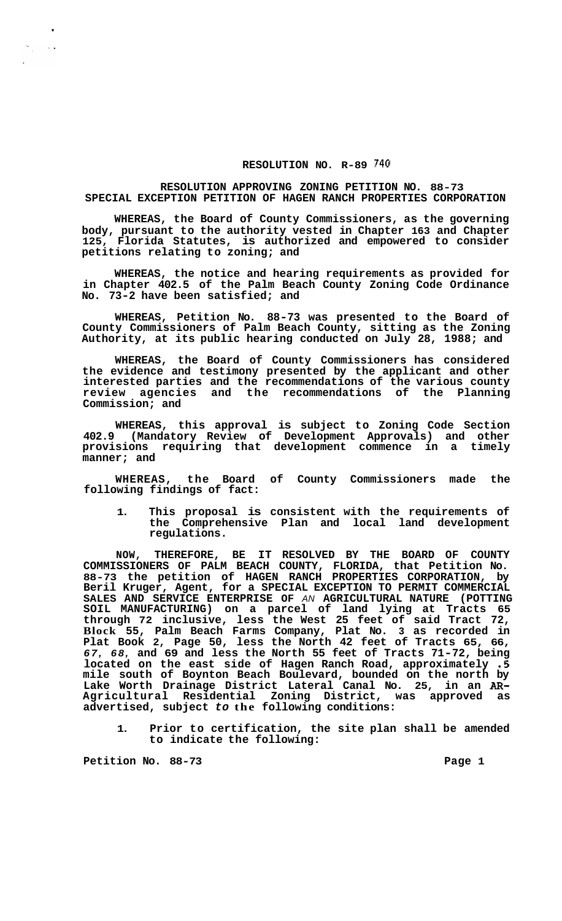## **RESOLUTION NO. R-89 740**

## **RESOLUTION APPROVING ZONING PETITION NO. 88-73 SPECIAL EXCEPTION PETITION OF HAGEN RANCH PROPERTIES CORPORATION**

**WHEREAS, the Board of County Commissioners, as the governing body, pursuant to the authority vested in Chapter 163 and Chapter 125, Florida Statutes, is authorized and empowered to consider petitions relating to zoning; and** 

**WHEREAS, the notice and hearing requirements as provided for in Chapter 402.5 of the Palm Beach County Zoning Code Ordinance No. 73-2 have been satisfied; and** 

**WHEREAS, Petition No. 88-73 was presented to the Board of County Commissioners of Palm Beach County, sitting as the Zoning Authority, at its public hearing conducted on July 28, 1988; and** 

**WHEREAS, the Board of County Commissioners has considered the evidence and testimony presented by the applicant and other interested parties and the recommendations of the various county review agencies and the recommendations of the Planning Commission; and** 

**WHEREAS, this approval is subject to Zoning Code Section 402.9 (Mandatory Review of Development Approvals) and other provisions requiring that development commence in a timely manner; and** 

**WHEREAS, the Board of County Commissioners made the following findings of fact:** 

**1. This proposal is consistent with the requirements of the Comprehensive Plan and local land development regulations.** 

**NOW, THEREFORE, BE IT RESOLVED BY THE BOARD OF COUNTY COMMISSIONERS OF PALM BEACH COUNTY, FLORIDA, that Petition No. 88-73 the petition of HAGEN RANCH PROPERTIES CORPORATION, by Beril Kruger, Agent, for a SPECIAL EXCEPTION TO PERMIT COMMERCIAL SALES AND SERVICE ENTERPRISE OF** *AN* **AGRICULTURAL NATURE (POTTING SOIL MANUFACTURING) on a parcel of land lying at Tracts 65 through 72 inclusive, less the West 25 feet of said Tract 72, Block 55, Palm Beach Farms Company, Plat No. 3 as recorded in Plat Book 2, Page 50, less the North 42 feet of Tracts 65, 66,**  *67, 68,* **and 69 and less the North 55 feet of Tracts 71-72, being located on the east side of Hagen Ranch Road, approximately .5 mile south of Boynton Beach Boulevard, bounded on the north by Lake Worth Drainage District Lateral Canal No. 25, in an** *AR-***Agricultural Residential Zoning District, was approved as advertised, subject** *to* **the following conditions:** 

**1. Prior to certification, the site plan shall be amended to indicate the following:** 

Petition No. 88-73 **Page 1 Page 1** 

 $\frac{1}{\epsilon}$  ,

 $\sim$   $\sim$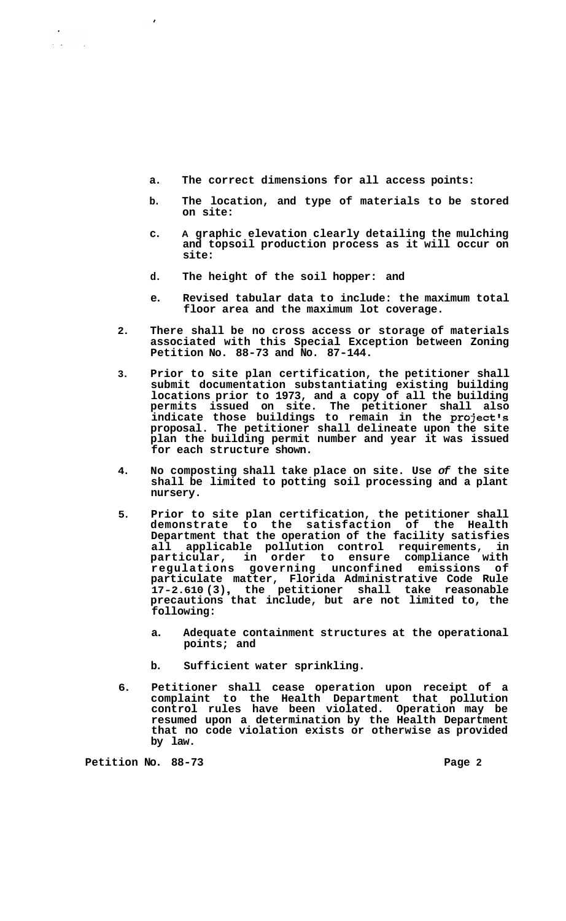- **a. The correct dimensions for all access points:**
- **b. The location, and type of materials to be stored on site:**
- **c. A graphic elevation clearly detailing the mulching and topsoil production process as it will occur on site:**
- **d. The height of the soil hopper: and**
- **e. Revised tabular data to include: the maximum total floor area and the maximum lot coverage.**
- **2. There shall be no cross access or storage of materials associated with this Special Exception between Zoning Petition No. 88-73 and No. 87-144.**
- **3. Prior to site plan certification, the petitioner shall submit documentation substantiating existing building locations prior to 1973, and a copy of all the building permits issued on site. The petitioner shall also indicate those buildings to remain in the project's proposal. The petitioner shall delineate upon the site plan the building permit number and year it was issued for each structure shown.**
- **4. No composting shall take place on site. Use** *of* **the site shall be limited to potting soil processing and a plant nursery.**
- **5. Prior to site plan certification, the petitioner shall demonstrate to the satisfaction of the Health Department that the operation of the facility satisfies all applicable pollution control requirements, in particular, in order to ensure compliance with regulations governing unconfined emissions of particulate matter, Florida Administrative Code Rule 17-2.610 (3)** , **the petitioner shall take reasonable precautions that include, but are not limited to, the following:** 
	- **a. Adequate containment structures at the operational points; and**
	- **b. Sufficient water sprinkling.**
- **6. Petitioner shall cease operation upon receipt of a complaint to the Health Department that pollution control rules have been violated. Operation may be resumed upon a determination by the Health Department that no code violation exists or otherwise as provided by law.**

**Petition No. 88-73** Page 2

 $\epsilon$ 

 $\lambda_{\rm c} = 0.1$ 

 $\sim$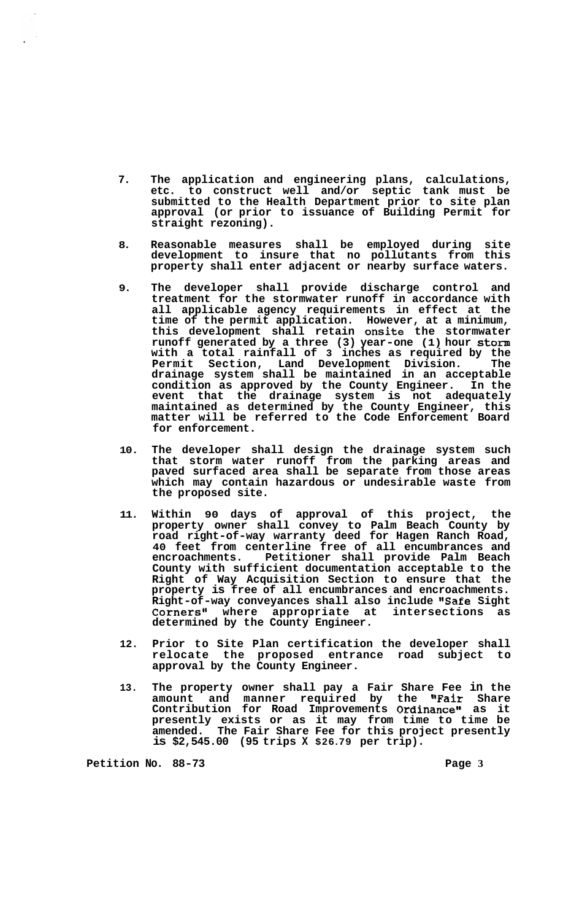- **7. The application and engineering plans, calculations, etc. to construct well and/or septic tank must be submitted to the Health Department prior to site plan approval (or prior to issuance of Building Permit for straight rezoning).**
- **8. Reasonable measures shall be employed during site development to insure that no pollutants from this property shall enter adjacent or nearby surface waters.**
- **9. The developer shall provide discharge control and treatment for the stormwater runoff in accordance with all applicable agency requirements in effect at the time of the permit application. However, at a minimum, this development shall retain onsite the stormwater runoff generated by a three (3) year-one (1) hour storm with a total rainfall of 3 inches as required by the Permit Section, Land Development Division. The drainage system shall be maintained in an acceptable condition as approved by the County Engineer. In the event that the drainage system is not adequately maintained as determined by the County Engineer, this matter will be referred to the Code Enforcement Board for enforcement.**
- **10. The developer shall design the drainage system such that storm water runoff from the parking areas and paved surfaced area shall be separate from those areas which may contain hazardous or undesirable waste from the proposed site.**
- **11. Within 90 days of approval of this project, the property owner shall convey to Palm Beach County by road right-of-way warranty deed for Hagen Ranch Road, 40 feet from centerline free of all encumbrances and encroachments. Petitioner shall provide Palm Beach County with sufficient documentation acceptable to the Right of Way Acquisition Section to ensure that the property is free of all encumbrances and encroachments.**  Right-of-way conveyances shall also include "Safe Sight<br>Corners" where appropriate at intersections as Corners" where appropriate at **determined by the County Engineer.**
- **12. Prior to Site Plan certification the developer shall relocate the proposed entrance road subject to approval by the County Engineer.**
- **13. The property owner shall pay a Fair Share Fee in the amount and manner required by the "Fair Share Contribution for Road Improvements Ordinance" as it presently exists or as it may from time to time be amended. The Fair Share Fee for this project presently is \$2,545.00 (95 trips X \$26.79 per trip).**

**Petition No. 88-73 Page 3**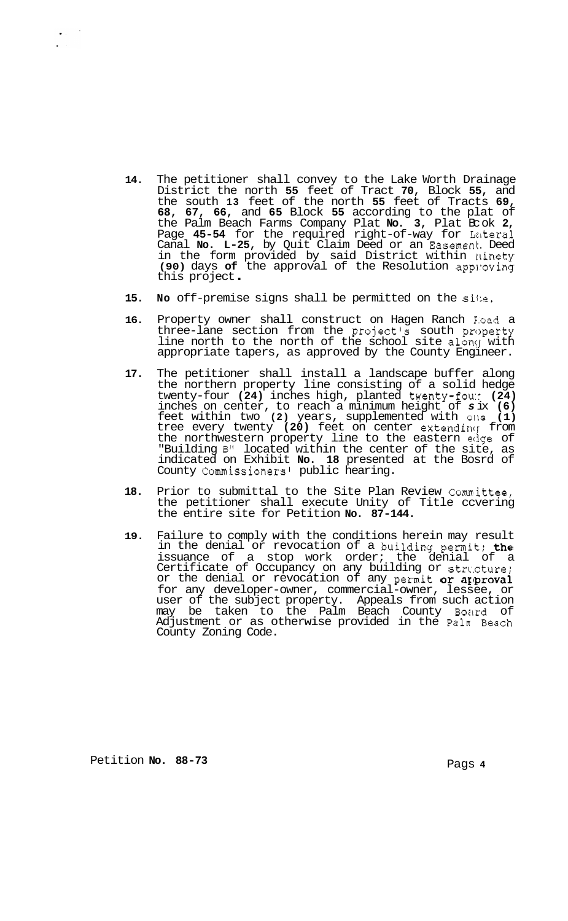- **14.** The petitioner shall convey to the Lake Worth Drainage District the north **55** feet of Tract **70,** Block **55,** and the south **13** feet of the north **55** feet of Tracts **69, 68, 67, 66,** and **65** Block **55** according to the plat of the Palm Beach Farms Company Plat **No. 3,** Plat Bc ok **2,**  Page 45-54 for the required right-of-way for Lateral Canal **No. L-25,** by Quit Claim Deed or an Easement. Deed in the form provided by said District within 11inety **(90)** days **of** the approval of the Resolution app1:oving this project .
- 15. No off-premise signs shall be permitted on the site.
- 16. Property owner shall construct on Hagen Ranch Foad a three-lane section from the project's south property line north to the north of the school site along with appropriate tapers, as approved by the County Engineer.
- **17.** The petitioner shall install a landscape buffer along the northern property line consisting of a solid hedge twenty-four (24) inches high, planted twenty-fou: (24) inches on center, to reach a minimum height of *s* ix **(6)**  feet within two **(2)** years, supplemented with olle **(1)**  tree every twenty (20) feet on center extending from the northwestern property line to the eastern edge of "Building B" located within the center of the site, as indicated on Exhibit **No. 18** presented at the Bosrd of County Commissioners1 public hearing.
- **18.** Prior to submittal to the Site Plan Review Comnittee, the petitioner shall execute Unity of Title ccvering the entire site for Petition **No. 87-144.**
- **19.** Failure to comply with the conditions herein may result in the denial or revocation of a building permit; the issuance of a stop work order; the denial of a Certificate of Occupancy on any building or structure; or the denial or revocation of any permit or approval for any developer-owner, commercial-owner, lessee, or user of the subject property. Appeals from such action may be taken to the Palm Beach County Board of Adjustment or as otherwise provided in the Pah Beach County Zoning Code.

Petition **No. 88-73** Pags **4** 

 $\bullet$  .  $\bullet$